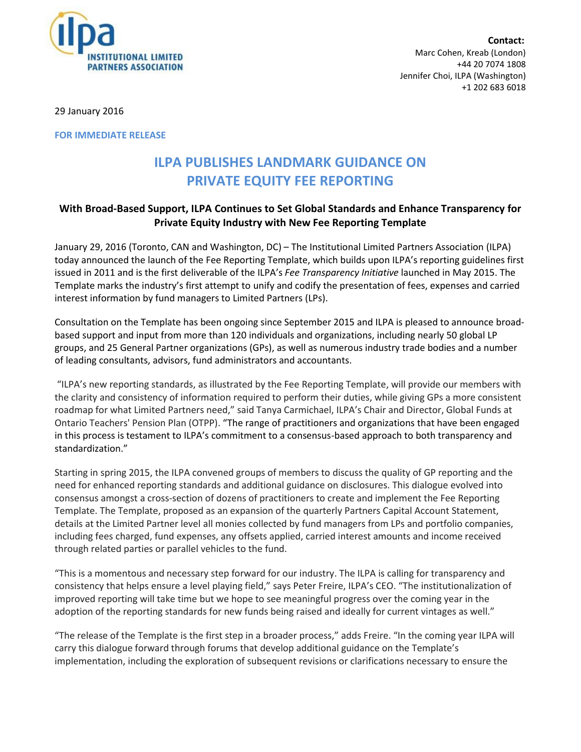

**Contact:** Marc Cohen, Kreab (London) +44 20 7074 1808 Jennifer Choi, ILPA (Washington) +1 202 683 6018

29 January 2016

**FOR IMMEDIATE RELEASE**

## **ILPA PUBLISHES LANDMARK GUIDANCE ON PRIVATE EQUITY FEE REPORTING**

## **With Broad-Based Support, ILPA Continues to Set Global Standards and Enhance Transparency for Private Equity Industry with New Fee Reporting Template**

January 29, 2016 (Toronto, CAN and Washington, DC) – The Institutional Limited Partners Association (ILPA) today announced the launch of the Fee Reporting Template, which builds upon ILPA's reporting guidelines first issued in 2011 and is the first deliverable of the ILPA's *Fee Transparency Initiative* launched in May 2015. The Template marks the industry's first attempt to unify and codify the presentation of fees, expenses and carried interest information by fund managers to Limited Partners (LPs).

Consultation on the Template has been ongoing since September 2015 and ILPA is pleased to announce broadbased support and input from more than 120 individuals and organizations, including nearly 50 global LP groups, and 25 General Partner organizations (GPs), as well as numerous industry trade bodies and a number of leading consultants, advisors, fund administrators and accountants.

"ILPA's new reporting standards, as illustrated by the Fee Reporting Template, will provide our members with the clarity and consistency of information required to perform their duties, while giving GPs a more consistent roadmap for what Limited Partners need," said Tanya Carmichael, ILPA's Chair and Director, Global Funds at Ontario Teachers' Pension Plan (OTPP). "The range of practitioners and organizations that have been engaged in this process is testament to ILPA's commitment to a consensus-based approach to both transparency and standardization."

Starting in spring 2015, the ILPA convened groups of members to discuss the quality of GP reporting and the need for enhanced reporting standards and additional guidance on disclosures. This dialogue evolved into consensus amongst a cross-section of dozens of practitioners to create and implement the Fee Reporting Template. The Template, proposed as an expansion of the quarterly Partners Capital Account Statement, details at the Limited Partner level all monies collected by fund managers from LPs and portfolio companies, including fees charged, fund expenses, any offsets applied, carried interest amounts and income received through related parties or parallel vehicles to the fund.

"This is a momentous and necessary step forward for our industry. The ILPA is calling for transparency and consistency that helps ensure a level playing field," says Peter Freire, ILPA's CEO. "The institutionalization of improved reporting will take time but we hope to see meaningful progress over the coming year in the adoption of the reporting standards for new funds being raised and ideally for current vintages as well."

"The release of the Template is the first step in a broader process," adds Freire. "In the coming year ILPA will carry this dialogue forward through forums that develop additional guidance on the Template's implementation, including the exploration of subsequent revisions or clarifications necessary to ensure the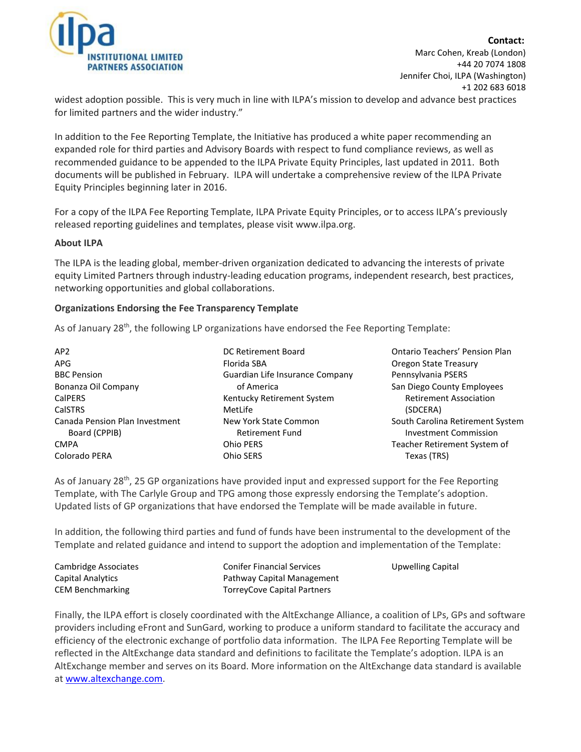

**Contact:** Marc Cohen, Kreab (London) +44 20 7074 1808 Jennifer Choi, ILPA (Washington) +1 202 683 6018

widest adoption possible. This is very much in line with ILPA's mission to develop and advance best practices for limited partners and the wider industry."

In addition to the Fee Reporting Template, the Initiative has produced a white paper recommending an expanded role for third parties and Advisory Boards with respect to fund compliance reviews, as well as recommended guidance to be appended to the ILPA Private Equity Principles, last updated in 2011. Both documents will be published in February. ILPA will undertake a comprehensive review of the ILPA Private Equity Principles beginning later in 2016.

For a copy of the ILPA Fee Reporting Template, ILPA Private Equity Principles, or to access ILPA's previously released reporting guidelines and templates, please visit www.ilpa.org.

## **About ILPA**

The ILPA is the leading global, member-driven organization dedicated to advancing the interests of private equity Limited Partners through industry-leading education programs, independent research, best practices, networking opportunities and global collaborations.

## **Organizations Endorsing the Fee Transparency Template**

As of January 28<sup>th</sup>, the following LP organizations have endorsed the Fee Reporting Template:

| AP <sub>2</sub>                | DC Retirement Board             |
|--------------------------------|---------------------------------|
| APG                            | Florida SBA                     |
| <b>BBC Pension</b>             | Guardian Life Insurance Company |
| Bonanza Oil Company            | of America                      |
| CalPERS                        | Kentucky Retirement System      |
| <b>CalSTRS</b>                 | MetLife                         |
| Canada Pension Plan Investment | New York State Common           |
| Board (CPPIB)                  | <b>Retirement Fund</b>          |
| <b>CMPA</b>                    | <b>Ohio PERS</b>                |
| Colorado PERA                  | Ohio SERS                       |

Ontario Teachers' Pension Plan Oregon State Treasury Pennsylvania PSERS San Diego County Employees Retirement Association (SDCERA) South Carolina Retirement System Investment Commission Teacher Retirement System of Texas (TRS)

As of January 28<sup>th</sup>, 25 GP organizations have provided input and expressed support for the Fee Reporting Template, with The Carlyle Group and TPG among those expressly endorsing the Template's adoption. Updated lists of GP organizations that have endorsed the Template will be made available in future.

In addition, the following third parties and fund of funds have been instrumental to the development of the Template and related guidance and intend to support the adoption and implementation of the Template:

| Cambridge Associates    | <b>Conifer Financial Services</b> | <b>Upwelling Capital</b> |
|-------------------------|-----------------------------------|--------------------------|
| Capital Analytics       | Pathway Capital Management        |                          |
| <b>CEM Benchmarking</b> | TorreyCove Capital Partners       |                          |

Finally, the ILPA effort is closely coordinated with the AltExchange Alliance, a coalition of LPs, GPs and software providers including eFront and SunGard, working to produce a uniform standard to facilitate the accuracy and efficiency of the electronic exchange of portfolio data information. The ILPA Fee Reporting Template will be reflected in the AltExchange data standard and definitions to facilitate the Template's adoption. ILPA is an AltExchange member and serves on its Board. More information on the AltExchange data standard is available at [www.altexchange.com.](http://www.altexchange.com/)